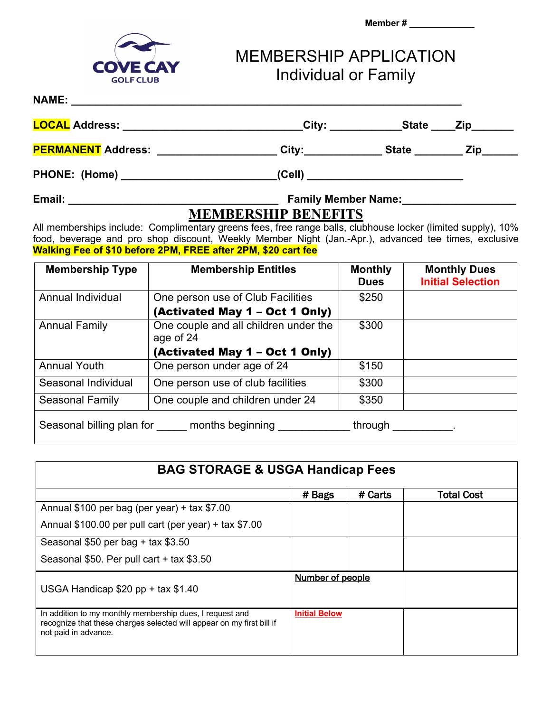



MEMBERSHIP APPLICATION Individual or Family

## **NAME: \_\_\_\_\_\_\_\_\_\_\_\_\_\_\_\_\_\_\_\_\_\_\_\_\_\_\_\_\_\_\_\_\_\_\_\_\_\_\_\_\_\_\_\_\_\_\_\_\_\_\_\_\_\_\_\_\_\_\_\_\_\_\_\_\_**

| <b>LOCAL Address:</b>     | City:  | <b>State</b> | <b>Zip</b> |
|---------------------------|--------|--------------|------------|
| <b>PERMANENT Address:</b> | City:  | <b>State</b> | Zip        |
| <b>PHONE: (Home)</b>      | (Cell) |              |            |

## **Email: \_\_\_\_\_\_\_\_\_\_\_\_\_\_\_\_\_\_\_\_\_\_\_\_\_\_\_\_\_\_\_\_\_\_\_ Family Member Name:\_\_\_\_\_\_\_\_\_\_\_\_\_\_\_\_\_\_\_**

## **MEMBERSHIP BENEFITS**

All memberships include: Complimentary greens fees, free range balls, clubhouse locker (limited supply), 10% food, beverage and pro shop discount, Weekly Member Night (Jan.-Apr.), advanced tee times, exclusive **Walking Fee of \$10 before 2PM, FREE after 2PM, \$20 cart fee**

| <b>Membership Type</b>                                                                  | <b>Membership Entitles</b>                         | <b>Monthly</b><br><b>Dues</b> | <b>Monthly Dues</b><br><b>Initial Selection</b> |
|-----------------------------------------------------------------------------------------|----------------------------------------------------|-------------------------------|-------------------------------------------------|
| Annual Individual                                                                       | One person use of Club Facilities                  | \$250                         |                                                 |
|                                                                                         | (Activated May 1 – Oct 1 Only)                     |                               |                                                 |
| <b>Annual Family</b>                                                                    | One couple and all children under the<br>age of 24 | \$300                         |                                                 |
|                                                                                         | (Activated May 1 - Oct 1 Only)                     |                               |                                                 |
| <b>Annual Youth</b>                                                                     | One person under age of 24                         | \$150                         |                                                 |
| Seasonal Individual                                                                     | One person use of club facilities                  | \$300                         |                                                 |
| Seasonal Family                                                                         | One couple and children under 24                   | \$350                         |                                                 |
| Seasonal billing plan for months beginning<br>through<br><b>Contract Contract State</b> |                                                    |                               |                                                 |

| <b>BAG STORAGE &amp; USGA Handicap Fees</b>                                                                                                               |                      |         |                   |
|-----------------------------------------------------------------------------------------------------------------------------------------------------------|----------------------|---------|-------------------|
|                                                                                                                                                           | # Bags               | # Carts | <b>Total Cost</b> |
| Annual \$100 per bag (per year) + tax $$7.00$                                                                                                             |                      |         |                   |
| Annual $$100.00$ per pull cart (per year) + tax $$7.00$                                                                                                   |                      |         |                   |
| Seasonal $$50$ per bag + tax $$3.50$                                                                                                                      |                      |         |                   |
| Seasonal \$50. Per pull cart + tax \$3.50                                                                                                                 |                      |         |                   |
| USGA Handicap \$20 pp + tax \$1.40                                                                                                                        | Number of people     |         |                   |
| In addition to my monthly membership dues, I request and<br>recognize that these charges selected will appear on my first bill if<br>not paid in advance. | <b>Initial Below</b> |         |                   |